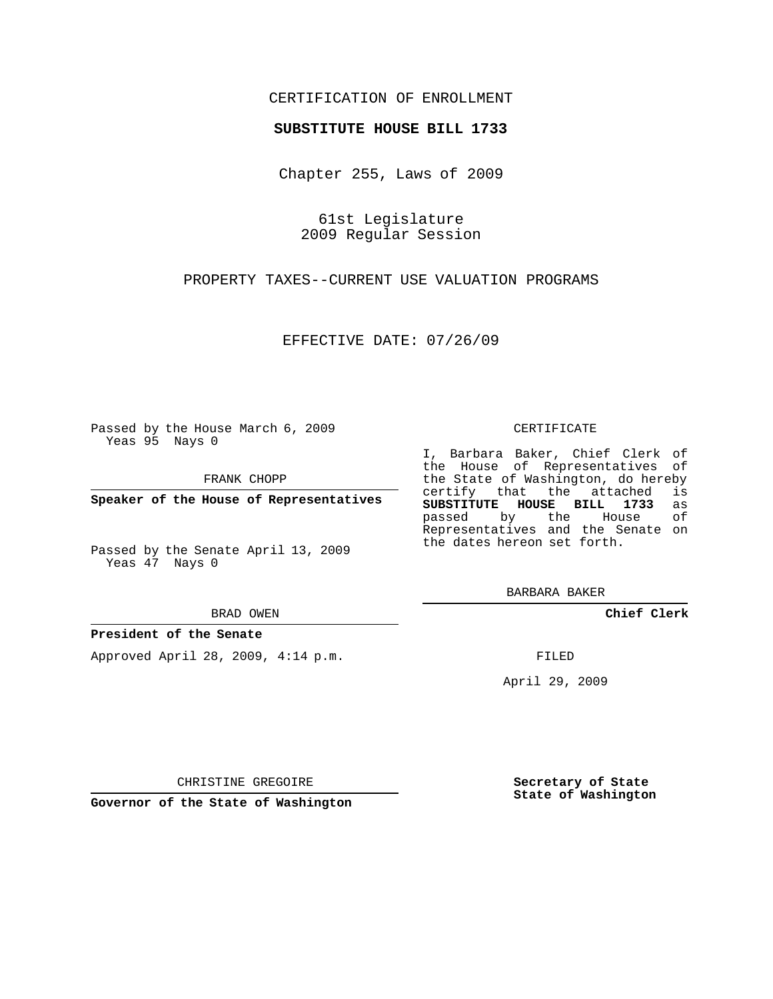## CERTIFICATION OF ENROLLMENT

## **SUBSTITUTE HOUSE BILL 1733**

Chapter 255, Laws of 2009

61st Legislature 2009 Regular Session

PROPERTY TAXES--CURRENT USE VALUATION PROGRAMS

EFFECTIVE DATE: 07/26/09

Passed by the House March 6, 2009 Yeas 95 Nays 0

FRANK CHOPP

**Speaker of the House of Representatives**

Passed by the Senate April 13, 2009 Yeas 47 Nays 0

#### BRAD OWEN

## **President of the Senate**

Approved April 28, 2009, 4:14 p.m.

#### CERTIFICATE

I, Barbara Baker, Chief Clerk of the House of Representatives of the State of Washington, do hereby<br>certify that the attached is certify that the attached **SUBSTITUTE HOUSE BILL 1733** as passed by the House of Representatives and the Senate on the dates hereon set forth.

BARBARA BAKER

**Chief Clerk**

FILED

April 29, 2009

**Secretary of State State of Washington**

CHRISTINE GREGOIRE

**Governor of the State of Washington**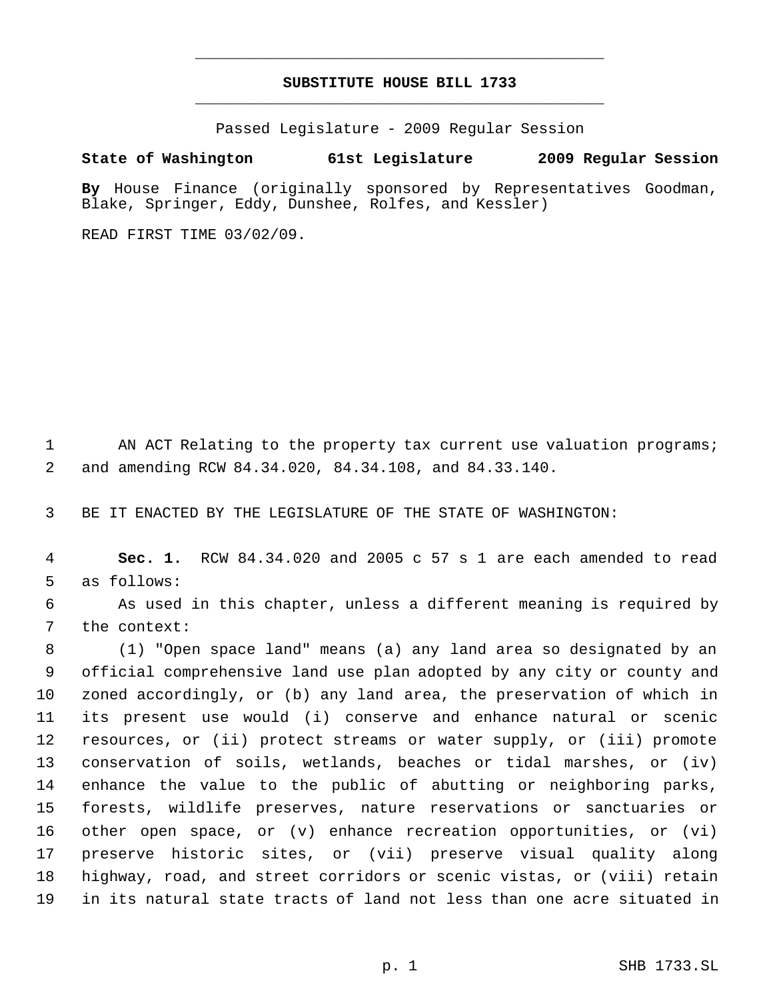# **SUBSTITUTE HOUSE BILL 1733** \_\_\_\_\_\_\_\_\_\_\_\_\_\_\_\_\_\_\_\_\_\_\_\_\_\_\_\_\_\_\_\_\_\_\_\_\_\_\_\_\_\_\_\_\_

\_\_\_\_\_\_\_\_\_\_\_\_\_\_\_\_\_\_\_\_\_\_\_\_\_\_\_\_\_\_\_\_\_\_\_\_\_\_\_\_\_\_\_\_\_

Passed Legislature - 2009 Regular Session

# **State of Washington 61st Legislature 2009 Regular Session**

**By** House Finance (originally sponsored by Representatives Goodman, Blake, Springer, Eddy, Dunshee, Rolfes, and Kessler)

READ FIRST TIME 03/02/09.

1 AN ACT Relating to the property tax current use valuation programs; and amending RCW 84.34.020, 84.34.108, and 84.33.140.

BE IT ENACTED BY THE LEGISLATURE OF THE STATE OF WASHINGTON:

 **Sec. 1.** RCW 84.34.020 and 2005 c 57 s 1 are each amended to read as follows:

 As used in this chapter, unless a different meaning is required by the context:

 (1) "Open space land" means (a) any land area so designated by an official comprehensive land use plan adopted by any city or county and zoned accordingly, or (b) any land area, the preservation of which in its present use would (i) conserve and enhance natural or scenic resources, or (ii) protect streams or water supply, or (iii) promote conservation of soils, wetlands, beaches or tidal marshes, or (iv) enhance the value to the public of abutting or neighboring parks, forests, wildlife preserves, nature reservations or sanctuaries or other open space, or (v) enhance recreation opportunities, or (vi) preserve historic sites, or (vii) preserve visual quality along highway, road, and street corridors or scenic vistas, or (viii) retain in its natural state tracts of land not less than one acre situated in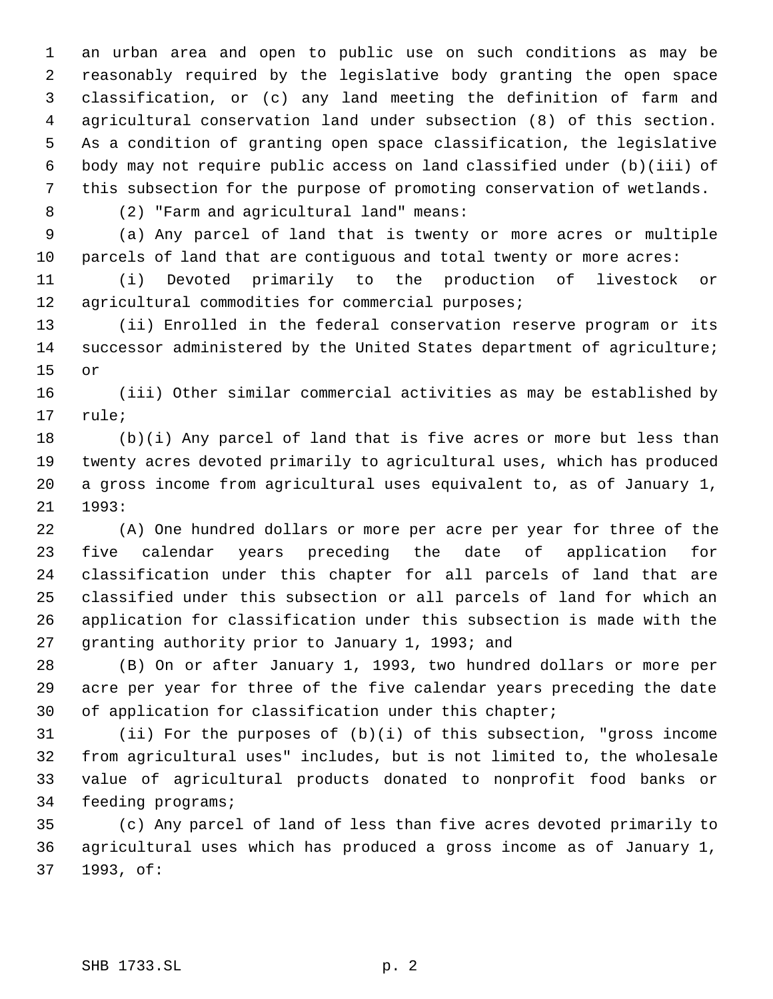an urban area and open to public use on such conditions as may be reasonably required by the legislative body granting the open space classification, or (c) any land meeting the definition of farm and agricultural conservation land under subsection (8) of this section. As a condition of granting open space classification, the legislative body may not require public access on land classified under (b)(iii) of this subsection for the purpose of promoting conservation of wetlands.

(2) "Farm and agricultural land" means:

 (a) Any parcel of land that is twenty or more acres or multiple parcels of land that are contiguous and total twenty or more acres:

 (i) Devoted primarily to the production of livestock or agricultural commodities for commercial purposes;

 (ii) Enrolled in the federal conservation reserve program or its successor administered by the United States department of agriculture; or

 (iii) Other similar commercial activities as may be established by rule;

 (b)(i) Any parcel of land that is five acres or more but less than twenty acres devoted primarily to agricultural uses, which has produced a gross income from agricultural uses equivalent to, as of January 1, 1993:

 (A) One hundred dollars or more per acre per year for three of the five calendar years preceding the date of application for classification under this chapter for all parcels of land that are classified under this subsection or all parcels of land for which an application for classification under this subsection is made with the granting authority prior to January 1, 1993; and

 (B) On or after January 1, 1993, two hundred dollars or more per acre per year for three of the five calendar years preceding the date 30 of application for classification under this chapter;

 (ii) For the purposes of (b)(i) of this subsection, "gross income from agricultural uses" includes, but is not limited to, the wholesale value of agricultural products donated to nonprofit food banks or feeding programs;

 (c) Any parcel of land of less than five acres devoted primarily to agricultural uses which has produced a gross income as of January 1, 1993, of: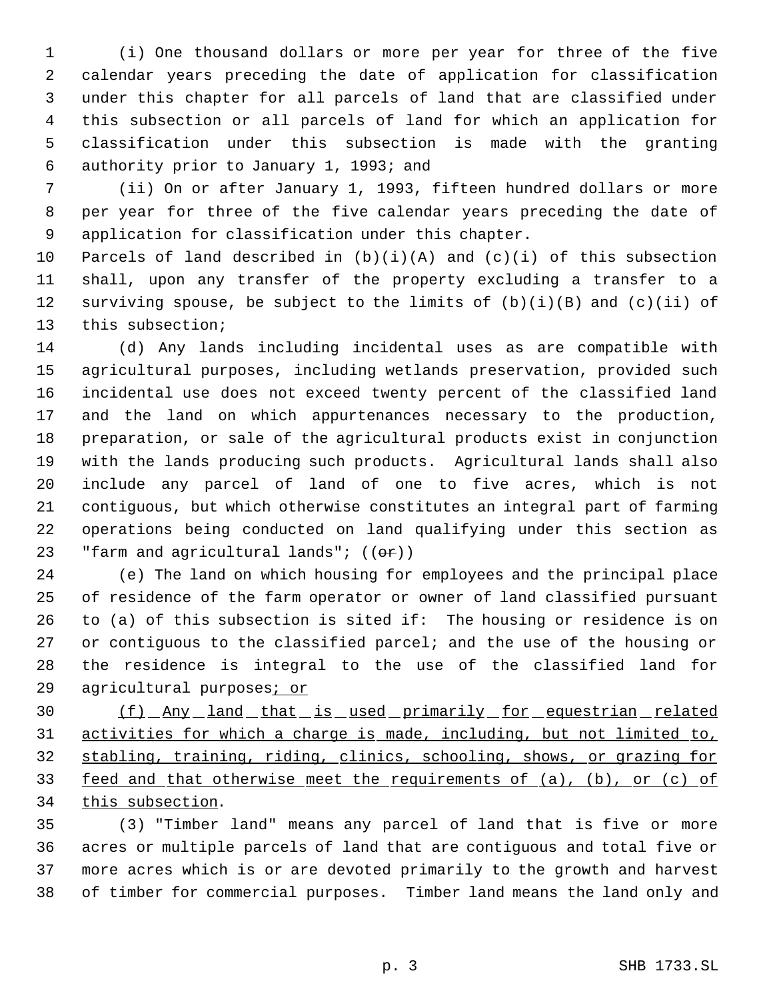(i) One thousand dollars or more per year for three of the five calendar years preceding the date of application for classification under this chapter for all parcels of land that are classified under this subsection or all parcels of land for which an application for classification under this subsection is made with the granting authority prior to January 1, 1993; and

 (ii) On or after January 1, 1993, fifteen hundred dollars or more per year for three of the five calendar years preceding the date of application for classification under this chapter.

10 Parcels of land described in  $(b)(i)(A)$  and  $(c)(i)$  of this subsection shall, upon any transfer of the property excluding a transfer to a 12 surviving spouse, be subject to the limits of  $(b)(i)(B)$  and  $(c)(ii)$  of this subsection;

 (d) Any lands including incidental uses as are compatible with agricultural purposes, including wetlands preservation, provided such incidental use does not exceed twenty percent of the classified land and the land on which appurtenances necessary to the production, preparation, or sale of the agricultural products exist in conjunction with the lands producing such products. Agricultural lands shall also include any parcel of land of one to five acres, which is not contiguous, but which otherwise constitutes an integral part of farming operations being conducted on land qualifying under this section as 23 "farm and agricultural lands";  $((\theta \cdot \hat{r}))$ 

 (e) The land on which housing for employees and the principal place of residence of the farm operator or owner of land classified pursuant to (a) of this subsection is sited if: The housing or residence is on or contiguous to the classified parcel; and the use of the housing or the residence is integral to the use of the classified land for 29 agricultural purposes; or

 (f) Any land that is used primarily for equestrian related activities for which a charge is made, including, but not limited to, stabling, training, riding, clinics, schooling, shows, or grazing for feed and that otherwise meet the requirements of (a), (b), or (c) of 34 this subsection.

 (3) "Timber land" means any parcel of land that is five or more acres or multiple parcels of land that are contiguous and total five or more acres which is or are devoted primarily to the growth and harvest of timber for commercial purposes. Timber land means the land only and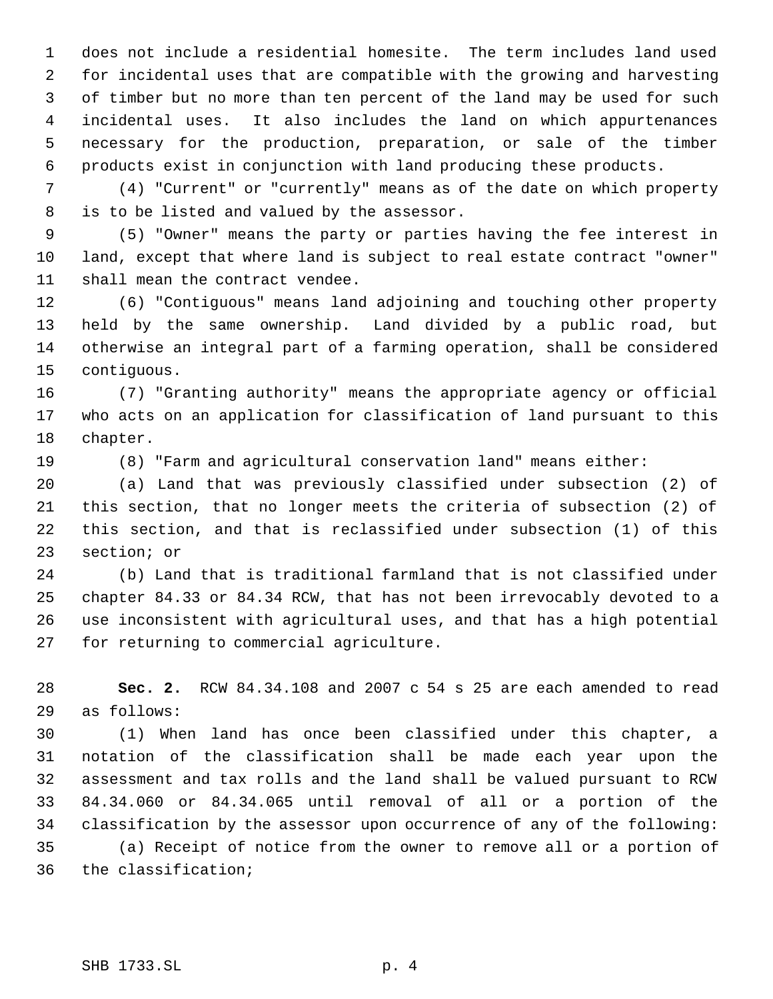does not include a residential homesite. The term includes land used for incidental uses that are compatible with the growing and harvesting of timber but no more than ten percent of the land may be used for such incidental uses. It also includes the land on which appurtenances necessary for the production, preparation, or sale of the timber products exist in conjunction with land producing these products.

 (4) "Current" or "currently" means as of the date on which property is to be listed and valued by the assessor.

 (5) "Owner" means the party or parties having the fee interest in land, except that where land is subject to real estate contract "owner" shall mean the contract vendee.

 (6) "Contiguous" means land adjoining and touching other property held by the same ownership. Land divided by a public road, but otherwise an integral part of a farming operation, shall be considered contiguous.

 (7) "Granting authority" means the appropriate agency or official who acts on an application for classification of land pursuant to this chapter.

(8) "Farm and agricultural conservation land" means either:

 (a) Land that was previously classified under subsection (2) of this section, that no longer meets the criteria of subsection (2) of this section, and that is reclassified under subsection (1) of this section; or

 (b) Land that is traditional farmland that is not classified under chapter 84.33 or 84.34 RCW, that has not been irrevocably devoted to a use inconsistent with agricultural uses, and that has a high potential for returning to commercial agriculture.

 **Sec. 2.** RCW 84.34.108 and 2007 c 54 s 25 are each amended to read as follows:

 (1) When land has once been classified under this chapter, a notation of the classification shall be made each year upon the assessment and tax rolls and the land shall be valued pursuant to RCW 84.34.060 or 84.34.065 until removal of all or a portion of the classification by the assessor upon occurrence of any of the following: (a) Receipt of notice from the owner to remove all or a portion of the classification;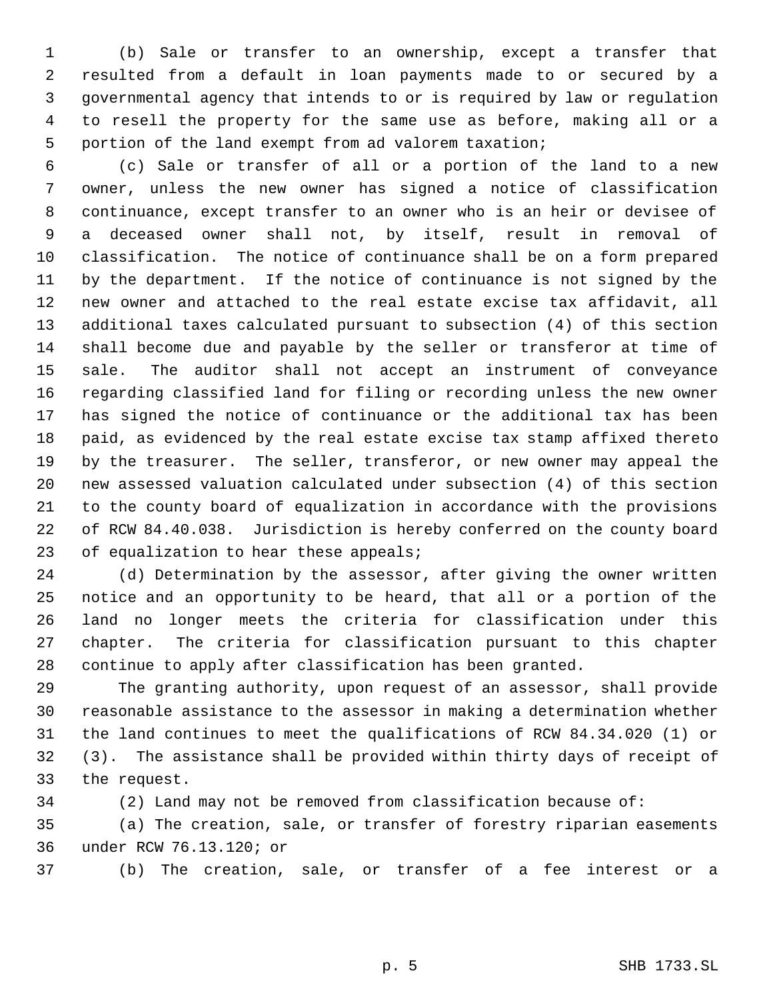(b) Sale or transfer to an ownership, except a transfer that resulted from a default in loan payments made to or secured by a governmental agency that intends to or is required by law or regulation to resell the property for the same use as before, making all or a portion of the land exempt from ad valorem taxation;

 (c) Sale or transfer of all or a portion of the land to a new owner, unless the new owner has signed a notice of classification continuance, except transfer to an owner who is an heir or devisee of a deceased owner shall not, by itself, result in removal of classification. The notice of continuance shall be on a form prepared by the department. If the notice of continuance is not signed by the new owner and attached to the real estate excise tax affidavit, all additional taxes calculated pursuant to subsection (4) of this section shall become due and payable by the seller or transferor at time of sale. The auditor shall not accept an instrument of conveyance regarding classified land for filing or recording unless the new owner has signed the notice of continuance or the additional tax has been paid, as evidenced by the real estate excise tax stamp affixed thereto by the treasurer. The seller, transferor, or new owner may appeal the new assessed valuation calculated under subsection (4) of this section to the county board of equalization in accordance with the provisions of RCW 84.40.038. Jurisdiction is hereby conferred on the county board 23 of equalization to hear these appeals;

 (d) Determination by the assessor, after giving the owner written notice and an opportunity to be heard, that all or a portion of the land no longer meets the criteria for classification under this chapter. The criteria for classification pursuant to this chapter continue to apply after classification has been granted.

 The granting authority, upon request of an assessor, shall provide reasonable assistance to the assessor in making a determination whether the land continues to meet the qualifications of RCW 84.34.020 (1) or (3). The assistance shall be provided within thirty days of receipt of the request.

(2) Land may not be removed from classification because of:

 (a) The creation, sale, or transfer of forestry riparian easements under RCW 76.13.120; or

(b) The creation, sale, or transfer of a fee interest or a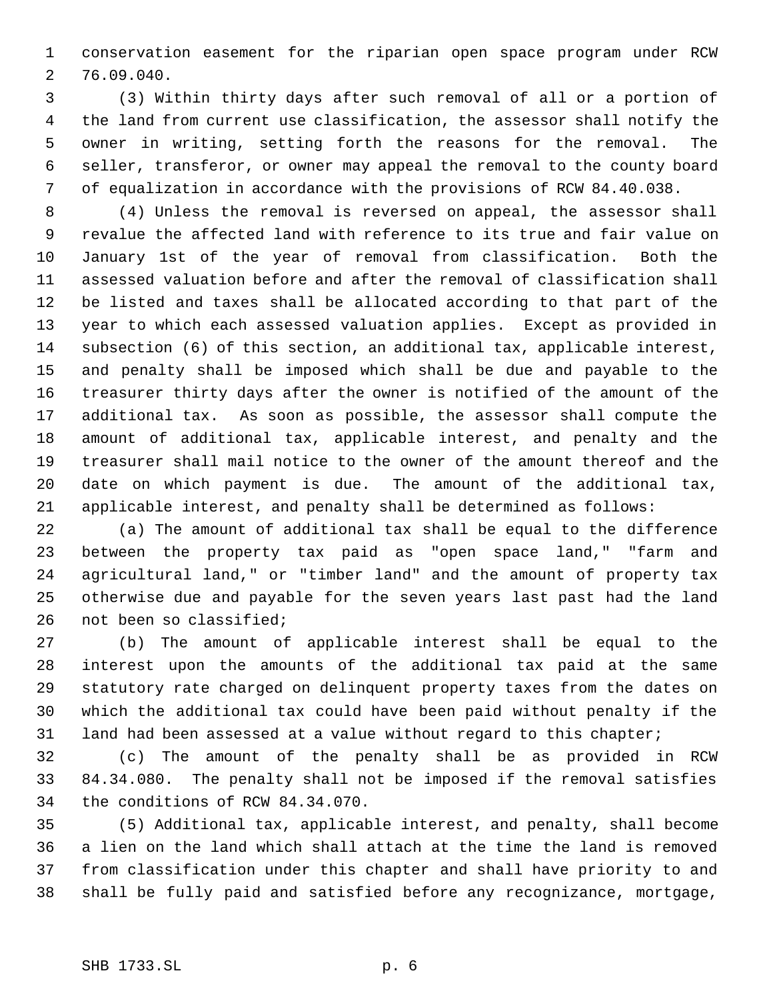conservation easement for the riparian open space program under RCW 76.09.040.

 (3) Within thirty days after such removal of all or a portion of the land from current use classification, the assessor shall notify the owner in writing, setting forth the reasons for the removal. The seller, transferor, or owner may appeal the removal to the county board of equalization in accordance with the provisions of RCW 84.40.038.

 (4) Unless the removal is reversed on appeal, the assessor shall revalue the affected land with reference to its true and fair value on January 1st of the year of removal from classification. Both the assessed valuation before and after the removal of classification shall be listed and taxes shall be allocated according to that part of the year to which each assessed valuation applies. Except as provided in subsection (6) of this section, an additional tax, applicable interest, and penalty shall be imposed which shall be due and payable to the treasurer thirty days after the owner is notified of the amount of the additional tax. As soon as possible, the assessor shall compute the amount of additional tax, applicable interest, and penalty and the treasurer shall mail notice to the owner of the amount thereof and the date on which payment is due. The amount of the additional tax, applicable interest, and penalty shall be determined as follows:

 (a) The amount of additional tax shall be equal to the difference between the property tax paid as "open space land," "farm and agricultural land," or "timber land" and the amount of property tax otherwise due and payable for the seven years last past had the land not been so classified;

 (b) The amount of applicable interest shall be equal to the interest upon the amounts of the additional tax paid at the same statutory rate charged on delinquent property taxes from the dates on which the additional tax could have been paid without penalty if the 31 land had been assessed at a value without regard to this chapter;

 (c) The amount of the penalty shall be as provided in RCW 84.34.080. The penalty shall not be imposed if the removal satisfies the conditions of RCW 84.34.070.

 (5) Additional tax, applicable interest, and penalty, shall become a lien on the land which shall attach at the time the land is removed from classification under this chapter and shall have priority to and shall be fully paid and satisfied before any recognizance, mortgage,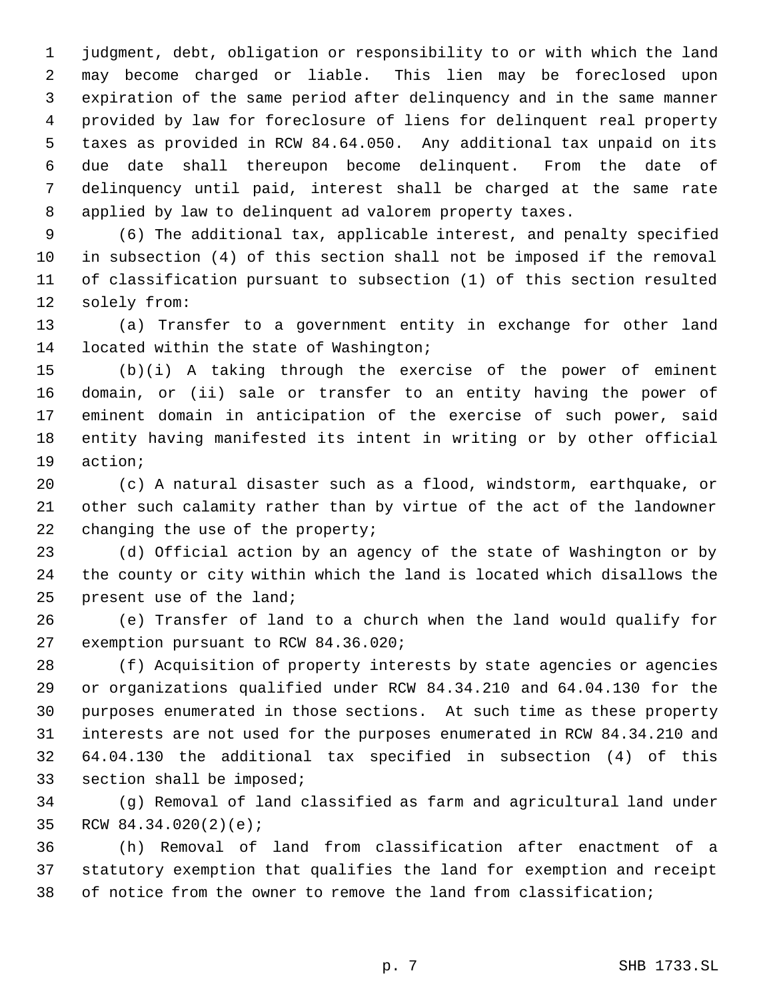judgment, debt, obligation or responsibility to or with which the land may become charged or liable. This lien may be foreclosed upon expiration of the same period after delinquency and in the same manner provided by law for foreclosure of liens for delinquent real property taxes as provided in RCW 84.64.050. Any additional tax unpaid on its due date shall thereupon become delinquent. From the date of delinquency until paid, interest shall be charged at the same rate applied by law to delinquent ad valorem property taxes.

 (6) The additional tax, applicable interest, and penalty specified in subsection (4) of this section shall not be imposed if the removal of classification pursuant to subsection (1) of this section resulted solely from:

 (a) Transfer to a government entity in exchange for other land located within the state of Washington;

 (b)(i) A taking through the exercise of the power of eminent domain, or (ii) sale or transfer to an entity having the power of eminent domain in anticipation of the exercise of such power, said entity having manifested its intent in writing or by other official action;

 (c) A natural disaster such as a flood, windstorm, earthquake, or other such calamity rather than by virtue of the act of the landowner 22 changing the use of the property;

 (d) Official action by an agency of the state of Washington or by the county or city within which the land is located which disallows the present use of the land;

 (e) Transfer of land to a church when the land would qualify for exemption pursuant to RCW 84.36.020;

 (f) Acquisition of property interests by state agencies or agencies or organizations qualified under RCW 84.34.210 and 64.04.130 for the purposes enumerated in those sections. At such time as these property interests are not used for the purposes enumerated in RCW 84.34.210 and 64.04.130 the additional tax specified in subsection (4) of this section shall be imposed;

 (g) Removal of land classified as farm and agricultural land under RCW 84.34.020(2)(e);

 (h) Removal of land from classification after enactment of a statutory exemption that qualifies the land for exemption and receipt of notice from the owner to remove the land from classification;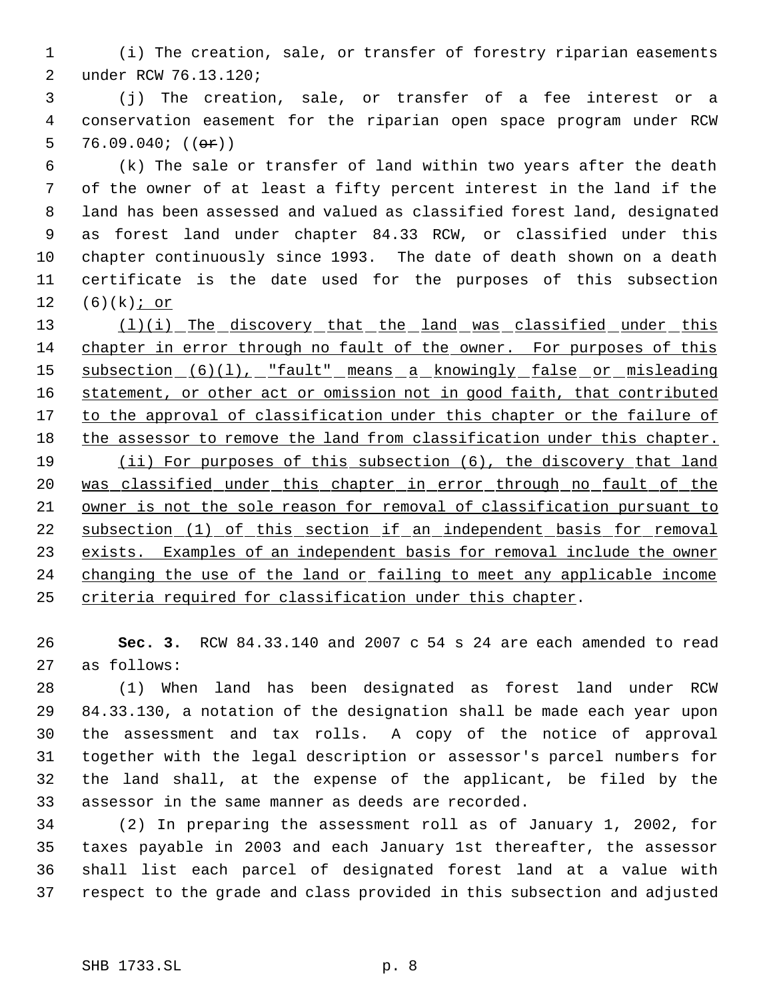- (i) The creation, sale, or transfer of forestry riparian easements under RCW 76.13.120;
- (j) The creation, sale, or transfer of a fee interest or a conservation easement for the riparian open space program under RCW 5 76.09.040;  $((\theta \cdot \hat{r}))$

 (k) The sale or transfer of land within two years after the death of the owner of at least a fifty percent interest in the land if the land has been assessed and valued as classified forest land, designated as forest land under chapter 84.33 RCW, or classified under this chapter continuously since 1993. The date of death shown on a death certificate is the date used for the purposes of this subsection  $(6)(k)$  j or

13 (l)(i) The discovery that the land was classified under this chapter in error through no fault of the owner. For purposes of this 15 subsection (6)(1), "fault" means a knowingly false or misleading 16 statement, or other act or omission not in good faith, that contributed 17 to the approval of classification under this chapter or the failure of the assessor to remove the land from classification under this chapter. 19 (ii) For purposes of this subsection (6), the discovery that land 20 was classified under this chapter in error through no fault of the owner is not the sole reason for removal of classification pursuant to subsection (1) of this section if an independent basis for removal exists. Examples of an independent basis for removal include the owner 24 changing the use of the land or failing to meet any applicable income criteria required for classification under this chapter.

 **Sec. 3.** RCW 84.33.140 and 2007 c 54 s 24 are each amended to read as follows:

 (1) When land has been designated as forest land under RCW 84.33.130, a notation of the designation shall be made each year upon the assessment and tax rolls. A copy of the notice of approval together with the legal description or assessor's parcel numbers for the land shall, at the expense of the applicant, be filed by the assessor in the same manner as deeds are recorded.

 (2) In preparing the assessment roll as of January 1, 2002, for taxes payable in 2003 and each January 1st thereafter, the assessor shall list each parcel of designated forest land at a value with respect to the grade and class provided in this subsection and adjusted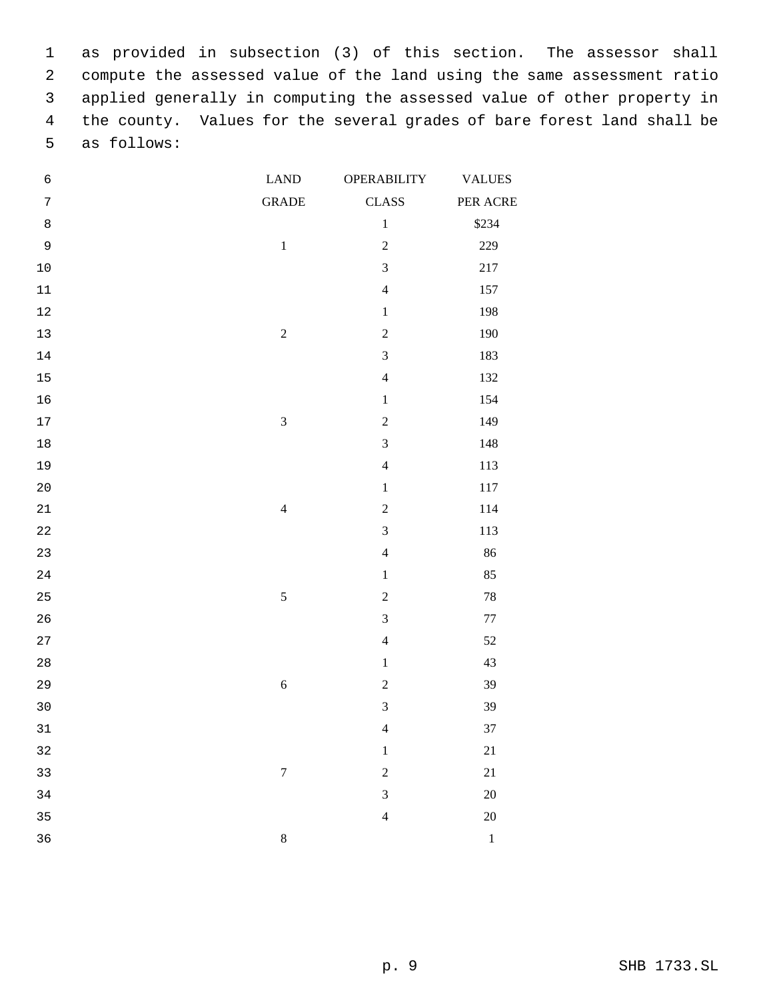as provided in subsection (3) of this section. The assessor shall compute the assessed value of the land using the same assessment ratio applied generally in computing the assessed value of other property in the county. Values for the several grades of bare forest land shall be as follows:

| $\epsilon$  | <b>LAND</b>      | OPERABILITY             | <b>VALUES</b> |
|-------------|------------------|-------------------------|---------------|
| $\sqrt{ }$  | <b>GRADE</b>     | <b>CLASS</b>            | PER ACRE      |
| $\,8\,$     |                  | $\,1$                   | \$234         |
| 9           | $\mathbf 1$      | $\overline{c}$          | 229           |
| $10$        |                  | 3                       | $217\,$       |
| $11\,$      |                  | $\overline{4}$          | 157           |
| $12$        |                  | $\,1$                   | 198           |
| $13$        | $\sqrt{2}$       | $\overline{c}$          | 190           |
| 14          |                  | $\overline{\mathbf{3}}$ | 183           |
| $15$        |                  | $\overline{4}$          | 132           |
| 16          |                  | $\,1$                   | 154           |
| $17\,$      | $\overline{3}$   | $\overline{c}$          | 149           |
| $18\,$      |                  | $\overline{\mathbf{3}}$ | 148           |
| 19          |                  | $\overline{4}$          | 113           |
| $20$        |                  | $\,1$                   | $117\,$       |
| $21\,$      | $\overline{4}$   | $\overline{c}$          | 114           |
| $2\sqrt{2}$ |                  | 3                       | 113           |
| 23          |                  | $\overline{4}$          | 86            |
| 24          |                  | $\,1$                   | 85            |
| 25          | $\sqrt{5}$       | $\overline{2}$          | $78\,$        |
| 26          |                  | 3                       | $77 \,$       |
| 27          |                  | $\overline{4}$          | $52\,$        |
| $2\,8$      |                  | $\,1$                   | 43            |
| 29          | $\sqrt{6}$       | $\overline{c}$          | 39            |
| 30          |                  | 3                       | 39            |
| 31          |                  | $\overline{4}$          | 37            |
| 32          |                  | $\,1$                   | 21            |
| 33          | $\boldsymbol{7}$ | $\overline{c}$          | 21            |
| 34          |                  | 3                       | $20\,$        |
| 35          |                  | $\overline{4}$          | $20\,$        |
| 36          | $\,8\,$          |                         | $\,1\,$       |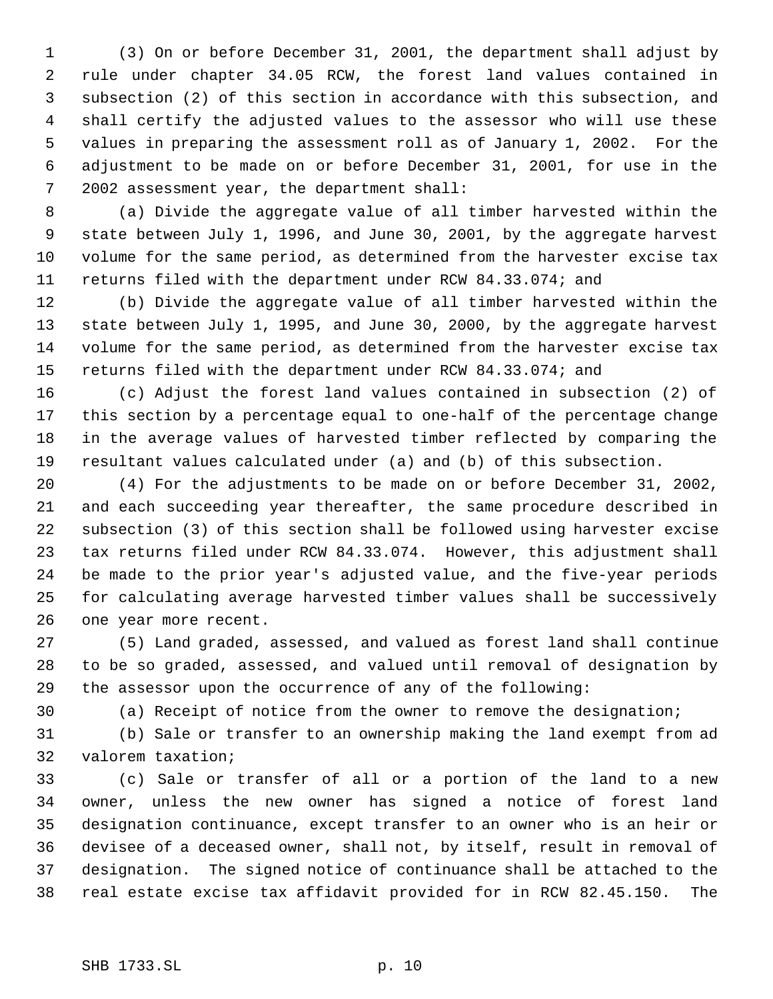(3) On or before December 31, 2001, the department shall adjust by rule under chapter 34.05 RCW, the forest land values contained in subsection (2) of this section in accordance with this subsection, and shall certify the adjusted values to the assessor who will use these values in preparing the assessment roll as of January 1, 2002. For the adjustment to be made on or before December 31, 2001, for use in the 2002 assessment year, the department shall:

 (a) Divide the aggregate value of all timber harvested within the state between July 1, 1996, and June 30, 2001, by the aggregate harvest volume for the same period, as determined from the harvester excise tax returns filed with the department under RCW 84.33.074; and

 (b) Divide the aggregate value of all timber harvested within the state between July 1, 1995, and June 30, 2000, by the aggregate harvest volume for the same period, as determined from the harvester excise tax returns filed with the department under RCW 84.33.074; and

 (c) Adjust the forest land values contained in subsection (2) of this section by a percentage equal to one-half of the percentage change in the average values of harvested timber reflected by comparing the resultant values calculated under (a) and (b) of this subsection.

 (4) For the adjustments to be made on or before December 31, 2002, and each succeeding year thereafter, the same procedure described in subsection (3) of this section shall be followed using harvester excise tax returns filed under RCW 84.33.074. However, this adjustment shall be made to the prior year's adjusted value, and the five-year periods for calculating average harvested timber values shall be successively one year more recent.

 (5) Land graded, assessed, and valued as forest land shall continue to be so graded, assessed, and valued until removal of designation by the assessor upon the occurrence of any of the following:

(a) Receipt of notice from the owner to remove the designation;

 (b) Sale or transfer to an ownership making the land exempt from ad valorem taxation;

 (c) Sale or transfer of all or a portion of the land to a new owner, unless the new owner has signed a notice of forest land designation continuance, except transfer to an owner who is an heir or devisee of a deceased owner, shall not, by itself, result in removal of designation. The signed notice of continuance shall be attached to the real estate excise tax affidavit provided for in RCW 82.45.150. The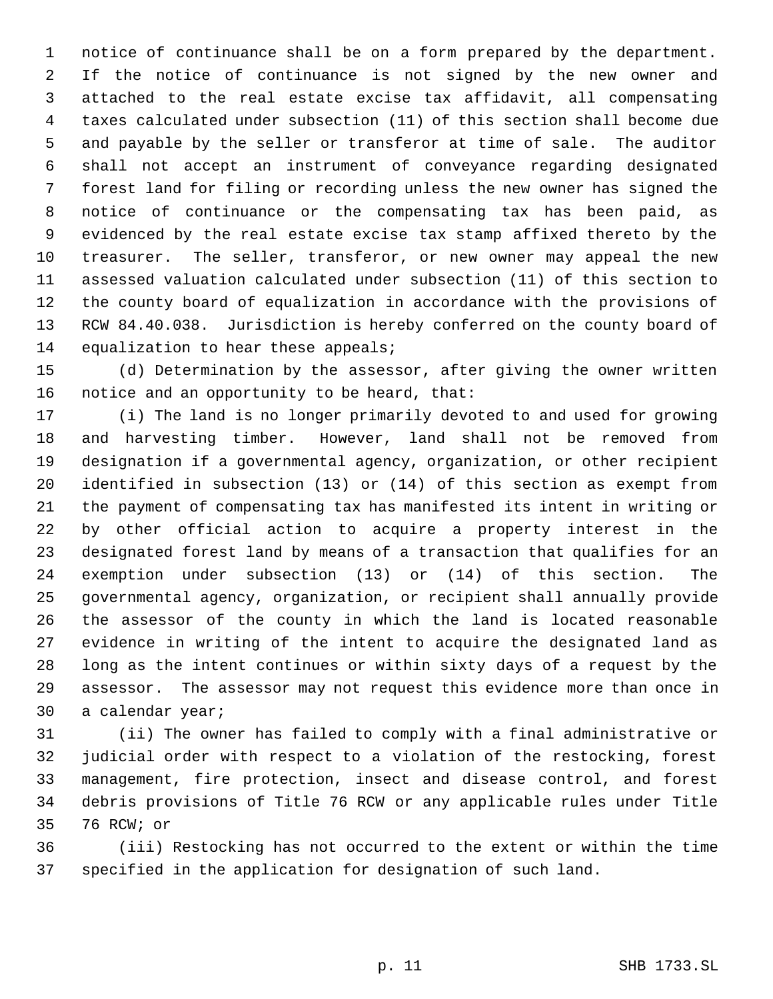notice of continuance shall be on a form prepared by the department. If the notice of continuance is not signed by the new owner and attached to the real estate excise tax affidavit, all compensating taxes calculated under subsection (11) of this section shall become due and payable by the seller or transferor at time of sale. The auditor shall not accept an instrument of conveyance regarding designated forest land for filing or recording unless the new owner has signed the notice of continuance or the compensating tax has been paid, as evidenced by the real estate excise tax stamp affixed thereto by the treasurer. The seller, transferor, or new owner may appeal the new assessed valuation calculated under subsection (11) of this section to the county board of equalization in accordance with the provisions of RCW 84.40.038. Jurisdiction is hereby conferred on the county board of 14 equalization to hear these appeals;

 (d) Determination by the assessor, after giving the owner written notice and an opportunity to be heard, that:

 (i) The land is no longer primarily devoted to and used for growing and harvesting timber. However, land shall not be removed from designation if a governmental agency, organization, or other recipient identified in subsection (13) or (14) of this section as exempt from the payment of compensating tax has manifested its intent in writing or by other official action to acquire a property interest in the designated forest land by means of a transaction that qualifies for an exemption under subsection (13) or (14) of this section. The governmental agency, organization, or recipient shall annually provide the assessor of the county in which the land is located reasonable evidence in writing of the intent to acquire the designated land as long as the intent continues or within sixty days of a request by the assessor. The assessor may not request this evidence more than once in a calendar year;

 (ii) The owner has failed to comply with a final administrative or judicial order with respect to a violation of the restocking, forest management, fire protection, insect and disease control, and forest debris provisions of Title 76 RCW or any applicable rules under Title 76 RCW; or

 (iii) Restocking has not occurred to the extent or within the time specified in the application for designation of such land.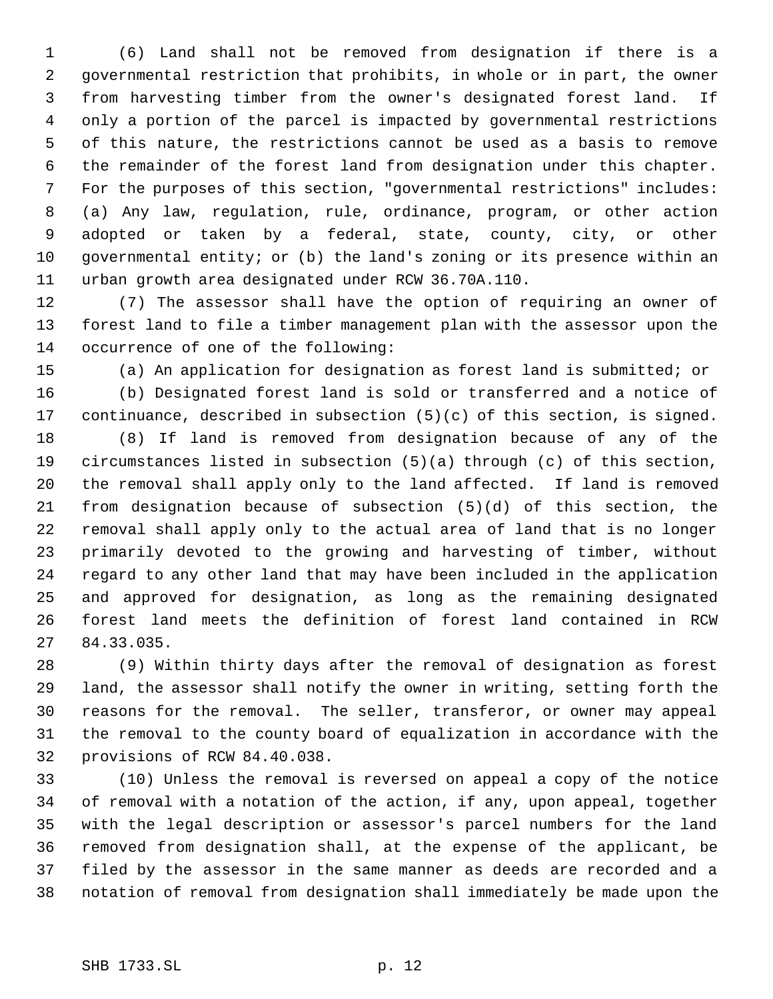(6) Land shall not be removed from designation if there is a governmental restriction that prohibits, in whole or in part, the owner from harvesting timber from the owner's designated forest land. If only a portion of the parcel is impacted by governmental restrictions of this nature, the restrictions cannot be used as a basis to remove the remainder of the forest land from designation under this chapter. For the purposes of this section, "governmental restrictions" includes: (a) Any law, regulation, rule, ordinance, program, or other action adopted or taken by a federal, state, county, city, or other governmental entity; or (b) the land's zoning or its presence within an urban growth area designated under RCW 36.70A.110.

 (7) The assessor shall have the option of requiring an owner of forest land to file a timber management plan with the assessor upon the occurrence of one of the following:

(a) An application for designation as forest land is submitted; or

 (b) Designated forest land is sold or transferred and a notice of continuance, described in subsection (5)(c) of this section, is signed.

 (8) If land is removed from designation because of any of the circumstances listed in subsection (5)(a) through (c) of this section, the removal shall apply only to the land affected. If land is removed from designation because of subsection (5)(d) of this section, the removal shall apply only to the actual area of land that is no longer primarily devoted to the growing and harvesting of timber, without regard to any other land that may have been included in the application and approved for designation, as long as the remaining designated forest land meets the definition of forest land contained in RCW 84.33.035.

 (9) Within thirty days after the removal of designation as forest land, the assessor shall notify the owner in writing, setting forth the reasons for the removal. The seller, transferor, or owner may appeal the removal to the county board of equalization in accordance with the provisions of RCW 84.40.038.

 (10) Unless the removal is reversed on appeal a copy of the notice of removal with a notation of the action, if any, upon appeal, together with the legal description or assessor's parcel numbers for the land removed from designation shall, at the expense of the applicant, be filed by the assessor in the same manner as deeds are recorded and a notation of removal from designation shall immediately be made upon the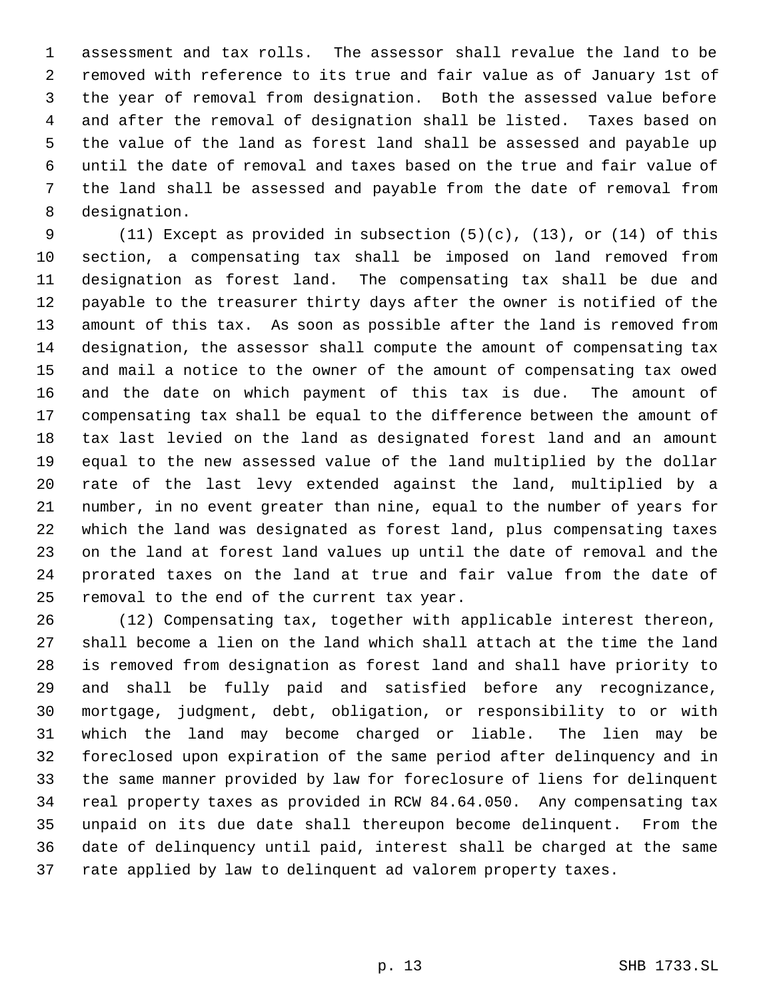assessment and tax rolls. The assessor shall revalue the land to be removed with reference to its true and fair value as of January 1st of the year of removal from designation. Both the assessed value before and after the removal of designation shall be listed. Taxes based on the value of the land as forest land shall be assessed and payable up until the date of removal and taxes based on the true and fair value of the land shall be assessed and payable from the date of removal from designation.

 (11) Except as provided in subsection (5)(c), (13), or (14) of this section, a compensating tax shall be imposed on land removed from designation as forest land. The compensating tax shall be due and payable to the treasurer thirty days after the owner is notified of the amount of this tax. As soon as possible after the land is removed from designation, the assessor shall compute the amount of compensating tax and mail a notice to the owner of the amount of compensating tax owed and the date on which payment of this tax is due. The amount of compensating tax shall be equal to the difference between the amount of tax last levied on the land as designated forest land and an amount equal to the new assessed value of the land multiplied by the dollar rate of the last levy extended against the land, multiplied by a number, in no event greater than nine, equal to the number of years for which the land was designated as forest land, plus compensating taxes on the land at forest land values up until the date of removal and the prorated taxes on the land at true and fair value from the date of removal to the end of the current tax year.

 (12) Compensating tax, together with applicable interest thereon, shall become a lien on the land which shall attach at the time the land is removed from designation as forest land and shall have priority to and shall be fully paid and satisfied before any recognizance, mortgage, judgment, debt, obligation, or responsibility to or with which the land may become charged or liable. The lien may be foreclosed upon expiration of the same period after delinquency and in the same manner provided by law for foreclosure of liens for delinquent real property taxes as provided in RCW 84.64.050. Any compensating tax unpaid on its due date shall thereupon become delinquent. From the date of delinquency until paid, interest shall be charged at the same rate applied by law to delinquent ad valorem property taxes.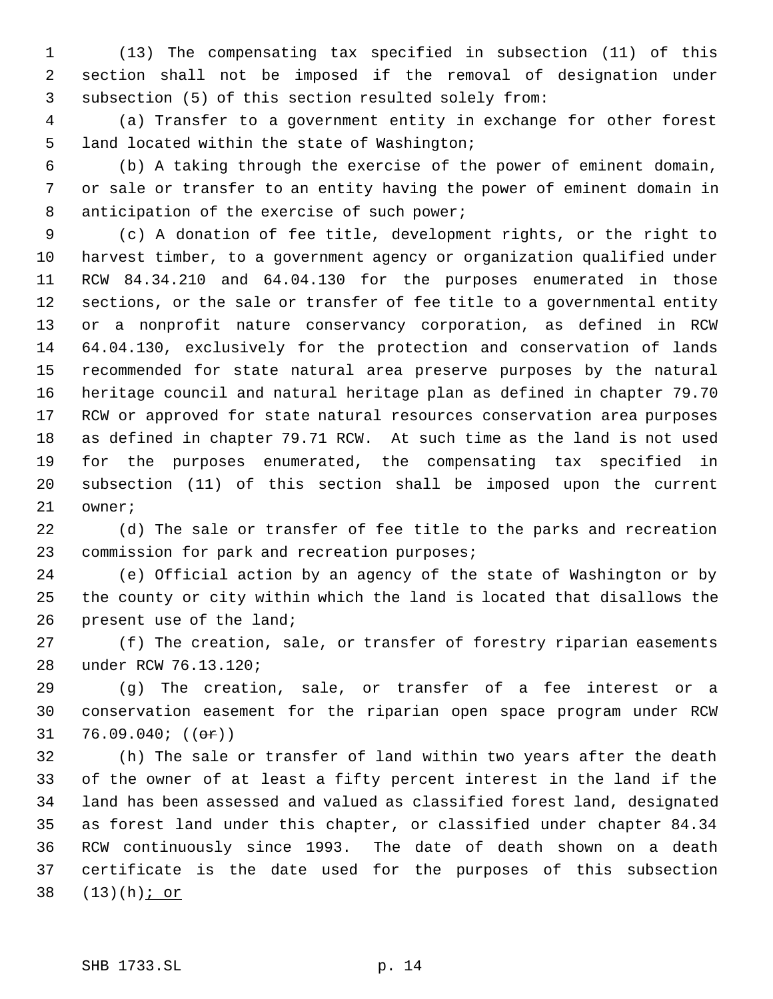(13) The compensating tax specified in subsection (11) of this section shall not be imposed if the removal of designation under subsection (5) of this section resulted solely from:

 (a) Transfer to a government entity in exchange for other forest land located within the state of Washington;

 (b) A taking through the exercise of the power of eminent domain, or sale or transfer to an entity having the power of eminent domain in 8 anticipation of the exercise of such power;

 (c) A donation of fee title, development rights, or the right to harvest timber, to a government agency or organization qualified under RCW 84.34.210 and 64.04.130 for the purposes enumerated in those sections, or the sale or transfer of fee title to a governmental entity or a nonprofit nature conservancy corporation, as defined in RCW 64.04.130, exclusively for the protection and conservation of lands recommended for state natural area preserve purposes by the natural heritage council and natural heritage plan as defined in chapter 79.70 RCW or approved for state natural resources conservation area purposes as defined in chapter 79.71 RCW. At such time as the land is not used for the purposes enumerated, the compensating tax specified in subsection (11) of this section shall be imposed upon the current owner;

 (d) The sale or transfer of fee title to the parks and recreation commission for park and recreation purposes;

 (e) Official action by an agency of the state of Washington or by the county or city within which the land is located that disallows the present use of the land;

 (f) The creation, sale, or transfer of forestry riparian easements under RCW 76.13.120;

 (g) The creation, sale, or transfer of a fee interest or a conservation easement for the riparian open space program under RCW 31 76.09.040;  $((\theta \cdot r))$ 

 (h) The sale or transfer of land within two years after the death of the owner of at least a fifty percent interest in the land if the land has been assessed and valued as classified forest land, designated as forest land under this chapter, or classified under chapter 84.34 RCW continuously since 1993. The date of death shown on a death certificate is the date used for the purposes of this subsection 38 (13)(h) *j* or